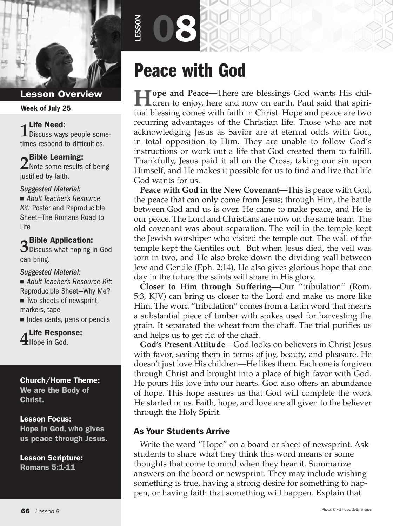

#### Week of July 25

**1** Life Need:<br>1 Discuss ways people sometimes respond to difficulties.

**2** Bible Learning:  $\angle$ Note some results of being justified by faith.

#### *Suggested Material:*

■ Adult Teacher's Resource *Kit:* Poster and Reproducible Sheet—The Romans Road to Life

## **3** Bible Application:

 $\mathbf{\mathcal{D}}$  Discuss what hoping in God can bring.

#### *Suggested Material:*

■ Adult Teacher's Resource Kit: Reproducible Sheet—Why Me?

 $\blacksquare$  Two sheets of newsprint, markers, tape

 $\blacksquare$  Index cards, pens or pencils

**4** Life Response: Hope in God.

#### Church/Home Theme:

We are the Body of Christ.

#### Lesson Focus:

Hope in God, who gives us peace through Jesus.

Lesson Scripture: Romans 5:1-11

# Peace with God

08

LESSON

**Hope and Peace—**There are blessings God wants His children to enjoy, here and now on earth. Paul said that spiritual blessing comes with faith in Christ. Hope and peace are two recurring advantages of the Christian life. Those who are not acknowledging Jesus as Savior are at eternal odds with God, in total opposition to Him. They are unable to follow God's instructions or work out a life that God created them to fulfill. Thankfully, Jesus paid it all on the Cross, taking our sin upon Himself, and He makes it possible for us to find and live that life God wants for us.

**Peace with God in the New Covenant—**This is peace with God, the peace that can only come from Jesus; through Him, the battle between God and us is over. He came to make peace, and He is our peace. The Lord and Christians are now on the same team. The old covenant was about separation. The veil in the temple kept the Jewish worshiper who visited the temple out. The wall of the temple kept the Gentiles out. But when Jesus died, the veil was torn in two, and He also broke down the dividing wall between Jew and Gentile (Eph. 2:14), He also gives glorious hope that one day in the future the saints will share in His glory.

**Closer to Him through Suffering—**Our "tribulation" (Rom. 5:3, KJV) can bring us closer to the Lord and make us more like Him. The word "tribulation" comes from a Latin word that means a substantial piece of timber with spikes used for harvesting the grain. It separated the wheat from the chaff. The trial purifies us and helps us to get rid of the chaff.

**God's Present Attitude—**God looks on believers in Christ Jesus with favor, seeing them in terms of joy, beauty, and pleasure. He doesn't just love His children—He likes them. Each one is forgiven through Christ and brought into a place of high favor with God. He pours His love into our hearts. God also offers an abundance of hope. This hope assures us that God will complete the work He started in us. Faith, hope, and love are all given to the believer through the Holy Spirit.

#### As Your Students Arrive

Write the word "Hope" on a board or sheet of newsprint. Ask students to share what they think this word means or some thoughts that come to mind when they hear it. Summarize answers on the board or newsprint. They may include wishing something is true, having a strong desire for something to happen, or having faith that something will happen. Explain that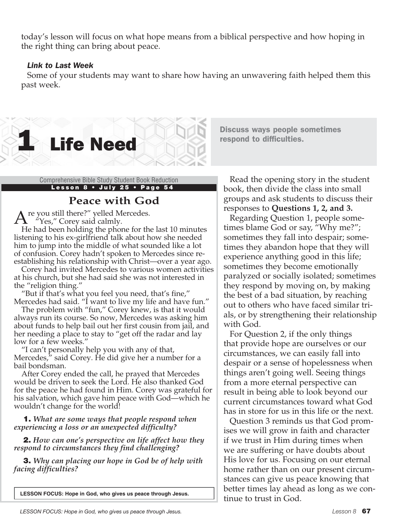today's lesson will focus on what hope means from a biblical perspective and how hoping in the right thing can bring about peace.

#### *Link to Last Week*

Some of your students may want to share how having an unwavering faith helped them this past week.



Discuss ways people sometimes respond to difficulties.

Lesson 8 · July 25 · Page 54

## **Peace with God**

re you still there?" yelled Mercedes. "Yes," Corey said calmly.

He had been holding the phone for the last 10 minutes listening to his ex-girlfriend talk about how she needed him to jump into the middle of what sounded like a lot of confusion. Corey hadn't spoken to Mercedes since reestablishing his relationship with Christ—over a year ago.

Corey had invited Mercedes to various women activities at his church, but she had said she was not interested in the "religion thing."

"But if that's what you feel you need, that's fine," Mercedes had said. "I want to live my life and have fun."

The problem with "fun," Corey knew, is that it would always run its course. So now, Mercedes was asking him about funds to help bail out her first cousin from jail, and her needing a place to stay to "get off the radar and lay low for a few weeks."

"I can't personally help you with any of that, Mercedes," said Corey. He did give her a number for a bail bondsman.

After Corey ended the call, he prayed that Mercedes would be driven to seek the Lord. He also thanked God for the peace he had found in Him. Corey was grateful for his salvation, which gave him peace with God—which he wouldn't change for the world!

1. *What are some ways that people respond when experiencing a loss or an unexpected difficulty?*

2. *How can one's perspective on life affect how they respond to circumstances they find challenging?*

3. *Why can placing our hope in God be of help with facing difficulties?*

**LESSON FOCUS: Hope in God, who gives us peace through Jesus.**

Comprehensive Bible Study Student Book Reduction Read the opening story in the student book, then divide the class into small groups and ask students to discuss their responses to **Questions 1, 2, and 3.**

> Regarding Question 1, people sometimes blame God or say, "Why me?"; sometimes they fall into despair; sometimes they abandon hope that they will experience anything good in this life; sometimes they become emotionally paralyzed or socially isolated; sometimes they respond by moving on, by making the best of a bad situation, by reaching out to others who have faced similar trials, or by strengthening their relationship with God.

For Question 2, if the only things that provide hope are ourselves or our circumstances, we can easily fall into despair or a sense of hopelessness when things aren't going well. Seeing things from a more eternal perspective can result in being able to look beyond our current circumstances toward what God has in store for us in this life or the next.

Question 3 reminds us that God promises we will grow in faith and character if we trust in Him during times when we are suffering or have doubts about His love for us. Focusing on our eternal home rather than on our present circumstances can give us peace knowing that better times lay ahead as long as we continue to trust in God.

*LESSON FOCUS: Hope in God, who gives us peace through Jesus. Lesson 8* 67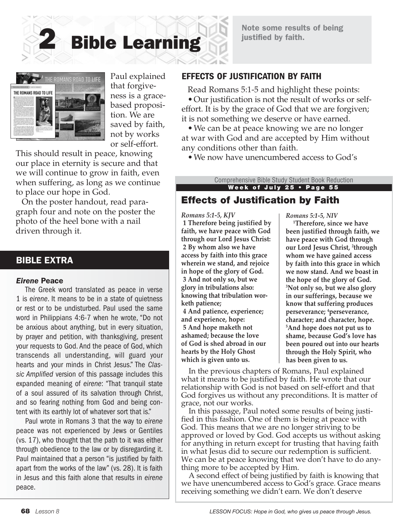Note some results of being justified by faith.





Paul explained that forgiveness is a gracebased proposition. We are saved by faith, not by works or self-effort.

This should result in peace, knowing our place in eternity is secure and that we will continue to grow in faith, even when suffering, as long as we continue to place our hope in God.

On the poster handout, read paragraph four and note on the poster the photo of the heel bone with a nail driven through it.

#### BIBLE EXTRA

#### *Eirene* Peace

The Greek word translated as peace in verse 1 is *eirene*. It means to be in a state of quietness or rest or to be undisturbed. Paul used the same word in Philippians 4:6-7 when he wrote, "Do not be anxious about anything, but in every situation, by prayer and petition, with thanksgiving, present your requests to God. And the peace of God, which transcends all understanding, will guard your hearts and your minds in Christ Jesus." The *Classic Amplified* version of this passage includes this expanded meaning of *eirene*: "That tranquil state of a soul assured of its salvation through Christ, and so fearing nothing from God and being content with its earthly lot of whatever sort that is."

Paul wrote in Romans 3 that the way to *eirene* peace was not experienced by Jews or Gentiles (vs. 17), who thought that the path to it was either through obedience to the law or by disregarding it. Paul maintained that a person "is justified by faith apart from the works of the law" (vs. 28). It is faith in Jesus and this faith alone that results in *eirene* peace.

#### EFFECTS OF JUSTIFICATION BY FAITH

Read Romans 5:1-5 and highlight these points: •Our justification is not the result of works or selfeffort. It is by the grace of God that we are forgiven; it is not something we deserve or have earned.

• We can be at peace knowing we are no longer at war with God and are accepted by Him without any conditions other than faith.

•We now have unencumbered access to God's

Week of July 25 • Page 55 Comprehensive Bible Study Student Book Reduction

## Effects of Justification by Faith

#### *Romans 5:1-5, KJV*

**1 Therefore being justified by faith, we have peace with God through our Lord Jesus Christ: 2 By whom also we have access by faith into this grace wherein we stand, and rejoice in hope of the glory of God. 3 And not only so, but we glory in tribulations also: knowing that tribulation worketh patience; 4 And patience, experience; and experience, hope: 5 And hope maketh not ashamed; because the love** 

**of God is shed abroad in our hearts by the Holy Ghost which is given unto us.**

*Romans 5:1-5, NIV*

**1 Therefore, since we have been justified through faith, we have peace with God through our Lord Jesus Christ, 2 through whom we have gained access by faith into this grace in which we now stand. And we boast in the hope of the glory of God. 3 Not only so, but we also glory in our sufferings, because we know that suffering produces perseverance; 4 perseverance, character; and character, hope. 5 And hope does not put us to shame, because God's love has been poured out into our hearts through the Holy Spirit, who has been given to us.**

In the previous chapters of Romans, Paul explained what it means to be justified by faith. He wrote that our relationship with God is not based on self-effort and that God forgives us without any preconditions. It is matter of grace, not our works.

In this passage, Paul noted some results of being justified in this fashion. One of them is being at peace with God. This means that we are no longer striving to be approved or loved by God. God accepts us without asking for anything in return except for trusting that having faith in what Jesus did to secure our redemption is sufficient. We can be at peace knowing that we don't have to do anything more to be accepted by Him.

A second effect of being justified by faith is knowing that we have unencumbered access to God's grace. Grace means receiving something we didn't earn. We don't deserve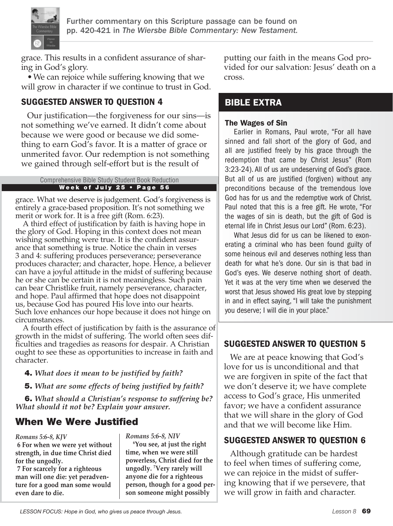

grace. This results in a confident assurance of sharing in God's glory.

•We can rejoice while suffering knowing that we will grow in character if we continue to trust in God.

## SUGGESTED ANSWER TO QUESTION 4

Our justification—the forgiveness for our sins—is not something we've earned. It didn't come about because we were good or because we did something to earn God's favor. It is a matter of grace or unmerited favor. Our redemption is not something we gained through self-effort but is the result of

#### Week of July 25 • Page 56 Comprehensive Bible Study Student Book Reduction

grace. What we deserve is judgement. God's forgiveness is entirely a grace-based proposition. It's not something we merit or work for. It is a free gift (Rom. 6:23).

A third effect of justification by faith is having hope in the glory of God. Hoping in this context does not mean wishing something were true. It is the confident assurance that something is true. Notice the chain in verses 3 and 4: suffering produces perseverance; perseverance produces character; and character, hope. Hence, a believer can have a joyful attitude in the midst of suffering because he or she can be certain it is not meaningless. Such pain can bear Christlike fruit, namely perseverance, character, and hope. Paul affirmed that hope does not disappoint us, because God has poured His love into our hearts. Such love enhances our hope because it does not hinge on circumstances.

A fourth effect of justification by faith is the assurance of growth in the midst of suffering. The world often sees difficulties and tragedies as reasons for despair. A Christian ought to see these as opportunities to increase in faith and character.

- 4. *What does it mean to be justified by faith?*
- 5. *What are some effects of being justified by faith?*

6. *What should a Christian's response to suffering be? What should it not be? Explain your answer.*

## When We Were Justified

*Romans 5:6-8, KJV*

**6 For when we were yet without strength, in due time Christ died for the ungodly.**

**7 For scarcely for a righteous man will one die: yet peradventure for a good man some would even dare to die.**

*Romans 5:6-8, NIV*

 **6You see, at just the right time, when we were still powerless, Christ died for the ungodly. 7 Very rarely will anyone die for a righteous person, though for a good person someone might possibly** 

putting our faith in the means God provided for our salvation: Jesus' death on a cross.

## BIBLE EXTRA

#### The Wages of Sin

Earlier in Romans, Paul wrote, "For all have sinned and fall short of the glory of God, and all are justified freely by his grace through the redemption that came by Christ Jesus" (Rom 3:23-24). All of us are undeserving of God's grace. But all of us are justified (forgiven) without any preconditions because of the tremendous love God has for us and the redemptive work of Christ. Paul noted that this is a free gift. He wrote, "For the wages of sin is death, but the gift of God is eternal life in Christ Jesus our Lord" (Rom. 6:23).

What Jesus did for us can be likened to exonerating a criminal who has been found guilty of some heinous evil and deserves nothing less than death for what he's done. Our sin is that bad in God's eyes. We deserve nothing short of death. Yet it was at the very time when we deserved the worst that Jesus showed His great love by stepping in and in effect saying, "I will take the punishment you deserve; I will die in your place."

## SUGGESTED ANSWER TO QUESTION 5

We are at peace knowing that God's love for us is unconditional and that we are forgiven in spite of the fact that we don't deserve it; we have complete access to God's grace, His unmerited favor; we have a confident assurance that we will share in the glory of God and that we will become like Him.

## SUGGESTED ANSWER TO QUESTION 6

Although gratitude can be hardest to feel when times of suffering come, we can rejoice in the midst of suffering knowing that if we persevere, that we will grow in faith and character.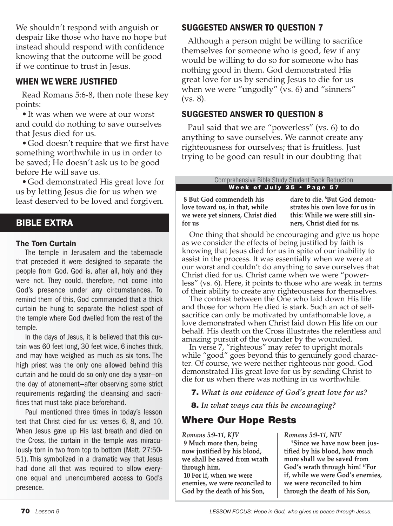We shouldn't respond with anguish or despair like those who have no hope but instead should respond with confidence knowing that the outcome will be good if we continue to trust in Jesus.

#### WHEN WE WERE JUSTIFIED

Read Romans 5:6-8, then note these key points:

•It was when we were at our worst and could do nothing to save ourselves that Jesus died for us.

•God doesn't require that we first have something worthwhile in us in order to be saved; He doesn't ask us to be good before He will save us.

•God demonstrated His great love for us by letting Jesus die for us when we least deserved to be loved and forgiven.

## BIBLE EXTRA

#### The Torn Curtain

The temple in Jerusalem and the tabernacle that preceded it were designed to separate the people from God. God is, after all, holy and they were not. They could, therefore, not come into God's presence under any circumstances. To remind them of this, God commanded that a thick curtain be hung to separate the holiest spot of the temple where God dwelled from the rest of the temple.

In the days of Jesus, it is believed that this curtain was 60 feet long, 30 feet wide, 6 inches thick, and may have weighed as much as six tons. The high priest was the only one allowed behind this curtain and he could do so only one day a year—on the day of atonement—after observing some strict requirements regarding the cleansing and sacrifices that must take place beforehand.

Paul mentioned three times in today's lesson text that Christ died for us: verses 6, 8, and 10. When Jesus gave up His last breath and died on the Cross, the curtain in the temple was miraculously torn in two from top to bottom (Matt. 27:50- 51). This symbolized in a dramatic way that Jesus had done all that was required to allow everyone equal and unencumbered access to God's presence.

## SUGGESTED ANSWER TO QUESTION 7

Although a person might be willing to sacrifice themselves for someone who is good, few if any would be willing to do so for someone who has nothing good in them. God demonstrated His great love for us by sending Jesus to die for us when we were "ungodly" (vs. 6) and "sinners" (vs. 8).

#### SUGGESTED ANSWER TO QUESTION 8

Paul said that we are "powerless" (vs. 6) to do anything to save ourselves. We cannot create any righteousness for ourselves; that is fruitless. Just trying to be good can result in our doubting that

> Week of July 25 • Page 57 Comprehensive Bible Study Student Book Reduction

**8 But God commendeth his love toward us, in that, while we were yet sinners, Christ died for us**

**dare to die. 8 But God demonstrates his own love for us in this: While we were still sinners, Christ died for us.**

One thing that should be encouraging and give us hope as we consider the effects of being justified by faith is knowing that Jesus died for us in spite of our inability to assist in the process. It was essentially when we were at our worst and couldn't do anything to save ourselves that Christ died for us. Christ came when we were "powerless" (vs. 6). Here, it points to those who are weak in terms of their ability to create any righteousness for themselves.

The contrast between the One who laid down His life and those for whom He died is stark. Such an act of selfsacrifice can only be motivated by unfathomable love, a love demonstrated when Christ laid down His life on our behalf. His death on the Cross illustrates the relentless and amazing pursuit of the wounder by the wounded.

In verse 7, "righteous" may refer to upright morals while "good" goes beyond this to genuinely good character. Of course, we were neither righteous nor good. God demonstrated His great love for us by sending Christ to die for us when there was nothing in us worthwhile.

7. *What is one evidence of God's great love for us?*

8. *In what ways can this be encouraging?*

## Where Our Hope Rests

*Romans 5:9-11, KJV* **9 Much more then, being now justified by his blood, we shall be saved from wrath through him.**

**10 For if, when we were enemies, we were reconciled to God by the death of his Son,** 

*Romans 5:9-11, NIV*

 **9Since we have now been justified by his blood, how much more shall we be saved from God's wrath through him! 10For if, while we were God's enemies, we were reconciled to him through the death of his Son,**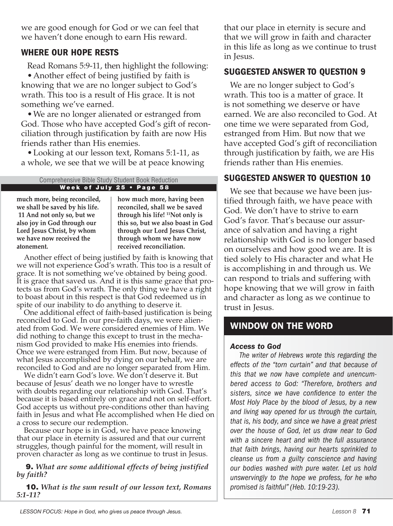we are good enough for God or we can feel that we haven't done enough to earn His reward.

## WHERE OUR HOPE RESTS

Read Romans 5:9-11, then highlight the following: •Another effect of being justified by faith is knowing that we are no longer subject to God's wrath. This too is a result of His grace. It is not something we've earned.

•We are no longer alienated or estranged from God. Those who have accepted God's gift of reconciliation through justification by faith are now His friends rather than His enemies.

•Looking at our lesson text, Romans 5:1-11, as a whole, we see that we will be at peace knowing

#### Week of July 25 • Page 58 Comprehensive Bible Study Student Book Reduction

**much more, being reconciled, we shall be saved by his life. 11 And not only so, but we also joy in God through our Lord Jesus Christ, by whom we have now received the atonement.**

**how much more, having been reconciled, shall we be saved through his life! 11Not only is this so, but we also boast in God through our Lord Jesus Christ, through whom we have now received reconciliation.**

Another effect of being justified by faith is knowing that we will not experience God's wrath. This too is a result of grace. It is not something we've obtained by being good. It is grace that saved us. And it is this same grace that protects us from God's wrath. The only thing we have a right to boast about in this respect is that God redeemed us in spite of our inability to do anything to deserve it.

One additional effect of faith-based justification is being reconciled to God. In our pre-faith days, we were alienated from God. We were considered enemies of Him. We did nothing to change this except to trust in the mechanism God provided to make His enemies into friends. Once we were estranged from Him. But now, because of what Jesus accomplished by dying on our behalf, we are reconciled to God and are no longer separated from Him.

We didn't earn God's love. We don't deserve it. But because of Jesus' death we no longer have to wrestle with doubts regarding our relationship with God. That's because it is based entirely on grace and not on self-effort. God accepts us without pre-conditions other than having faith in Jesus and what He accomplished when He died on a cross to secure our redemption.

Because our hope is in God, we have peace knowing that our place in eternity is assured and that our current struggles, though painful for the moment, will result in proven character as long as we continue to trust in Jesus.

9. *What are some additional effects of being justified by faith?*

10. *What is the sum result of our lesson text, Romans 5:1-11?*

that our place in eternity is secure and that we will grow in faith and character in this life as long as we continue to trust in Jesus.

## SUGGESTED ANSWER TO QUESTION 9

We are no longer subject to God's wrath. This too is a matter of grace. It is not something we deserve or have earned. We are also reconciled to God. At one time we were separated from God, estranged from Him. But now that we have accepted God's gift of reconciliation through justification by faith, we are His friends rather than His enemies.

## SUGGESTED ANSWER TO QUESTION 10

We see that because we have been justified through faith, we have peace with God. We don't have to strive to earn God's favor. That's because our assurance of salvation and having a right relationship with God is no longer based on ourselves and how good we are. It is tied solely to His character and what He is accomplishing in and through us. We can respond to trials and suffering with hope knowing that we will grow in faith and character as long as we continue to trust in Jesus.

## WINDOW ON THE WORD

#### *Access to God*

*The writer of Hebrews wrote this regarding the effects of the "torn curtain" and that because of this that we now have complete and unencumbered access to God: "Therefore, brothers and sisters, since we have confidence to enter the Most Holy Place by the blood of Jesus, by a new and living way opened for us through the curtain, that is, his body, and since we have a great priest over the house of God, let us draw near to God with a sincere heart and with the full assurance that faith brings, having our hearts sprinkled to cleanse us from a guilty conscience and having our bodies washed with pure water. Let us hold unswervingly to the hope we profess, for he who promised is faithful" (Heb. 10:19-23).*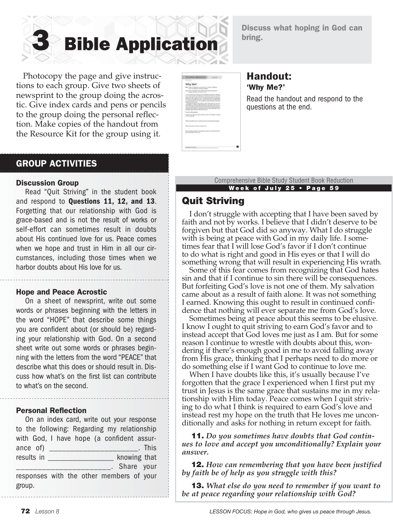

Discuss what hoping in God can bring.

 Photocopy the page and give instructions to each group. Give two sheets of newsprint to the group doing the acrostic. Give index cards and pens or pencils to the group doing the personal reflection. Make copies of the handout from the Resource Kit for the group using it.

| <b>BEACHING RESOURCE</b>                                                                                                                                                                                                                                                                                                                                                                                                                                                                                                                                                                                                                                                                                                                                                                                                                                                                                                                                                                                                                        |    | AG178                                                     |  |
|-------------------------------------------------------------------------------------------------------------------------------------------------------------------------------------------------------------------------------------------------------------------------------------------------------------------------------------------------------------------------------------------------------------------------------------------------------------------------------------------------------------------------------------------------------------------------------------------------------------------------------------------------------------------------------------------------------------------------------------------------------------------------------------------------------------------------------------------------------------------------------------------------------------------------------------------------------------------------------------------------------------------------------------------------|----|-----------------------------------------------------------|--|
| A Driver                                                                                                                                                                                                                                                                                                                                                                                                                                                                                                                                                                                                                                                                                                                                                                                                                                                                                                                                                                                                                                        |    |                                                           |  |
| Why Me?                                                                                                                                                                                                                                                                                                                                                                                                                                                                                                                                                                                                                                                                                                                                                                                                                                                                                                                                                                                                                                         |    |                                                           |  |
| Their collate successful for an operation of an children defiliance.<br>through the state that constrains well-known.                                                                                                                                                                                                                                                                                                                                                                                                                                                                                                                                                                                                                                                                                                                                                                                                                                                                                                                           |    |                                                           |  |
| Loss of manufacturers that for the Angle Philadelphia<br>man.<br>Bradle condition is a did of security                                                                                                                                                                                                                                                                                                                                                                                                                                                                                                                                                                                                                                                                                                                                                                                                                                                                                                                                          |    |                                                           |  |
| This is built affect allowing the annual interest and a children report on<br>the cases wants must be a not substitute or chose when the first to do not been fixed.<br>for any future transport to the control of the rest of the case of the control of the control of the<br>referred and the completing titings with their grant and that throp recepts<br>to comme, crystal floor transition on applier that the ten and an offer of the<br>should all that with an air time to see that a no those trip between this but a<br>heat and first range in simul-<br>Warrend in the Affins the Automobile Material and the Automobile West State<br>contradictor no edi pose in balo antichemie in the entre of cash abor per-<br>seven and summarize terms from Newtown after all that any chance a streams of<br>process constructions that after them be to state for an dealer permitting provided as<br>continued the continue of the person and the motive that a part is that<br>Fix ties as Trace is the car will find could in court. |    |                                                           |  |
| The world Boots editor                                                                                                                                                                                                                                                                                                                                                                                                                                                                                                                                                                                                                                                                                                                                                                                                                                                                                                                                                                                                                          |    |                                                           |  |
| Who are sense to do analyze a general of the costs for their collection of angle<br>in Northeaster AND                                                                                                                                                                                                                                                                                                                                                                                                                                                                                                                                                                                                                                                                                                                                                                                                                                                                                                                                          |    |                                                           |  |
| We have a second case on a country concerns and a surface it to depart                                                                                                                                                                                                                                                                                                                                                                                                                                                                                                                                                                                                                                                                                                                                                                                                                                                                                                                                                                          |    |                                                           |  |
| What is seen today provide car capital three?<br>٠                                                                                                                                                                                                                                                                                                                                                                                                                                                                                                                                                                                                                                                                                                                                                                                                                                                                                                                                                                                              |    |                                                           |  |
| the service is contract to the first<br>the four time being a detect-                                                                                                                                                                                                                                                                                                                                                                                                                                                                                                                                                                                                                                                                                                                                                                                                                                                                                                                                                                           | n. | <b>Security Contact</b><br>and and control of the company |  |
| 420 A.W                                                                                                                                                                                                                                                                                                                                                                                                                                                                                                                                                                                                                                                                                                                                                                                                                                                                                                                                                                                                                                         |    |                                                           |  |
|                                                                                                                                                                                                                                                                                                                                                                                                                                                                                                                                                                                                                                                                                                                                                                                                                                                                                                                                                                                                                                                 |    |                                                           |  |
|                                                                                                                                                                                                                                                                                                                                                                                                                                                                                                                                                                                                                                                                                                                                                                                                                                                                                                                                                                                                                                                 |    |                                                           |  |
| \$1,000 Mill Lowell & A. All St.                                                                                                                                                                                                                                                                                                                                                                                                                                                                                                                                                                                                                                                                                                                                                                                                                                                                                                                                                                                                                |    | --                                                        |  |

#### Handout: 'Why Me?'

Read the handout and respond to the questions at the end.

## GROUP ACTIVITIES

#### Discussion Group

Read "Quit Striving" in the student book and respond to Questions 11, 12, and 13. Forgetting that our relationship with God is grace-based and is not the result of works or self-effort can sometimes result in doubts about His continued love for us. Peace comes when we hope and trust in Him in all our circumstances, including those times when we harbor doubts about His love for us.

#### Hope and Peace Acrostic

On a sheet of newsprint, write out some words or phrases beginning with the letters in the word "HOPE" that describe some things you are confident about (or should be) regarding your relationship with God. On a second sheet write out some words or phrases beginning with the letters from the word "PEACE" that describe what this does or should result in. Discuss how what's on the first list can contribute to what's on the second.

#### Personal Reflection

On an index card, write out your response to the following: Regarding my relationship with God, I have hope (a confident assurance of) \_\_\_\_\_\_\_\_\_\_\_\_\_\_\_\_\_\_\_\_\_. This results in \_\_\_\_\_\_\_\_\_\_\_\_\_\_\_\_\_\_\_\_ knowing that \_\_\_\_\_\_\_\_\_\_\_\_\_\_\_\_\_\_\_\_\_\_. Share your responses with the other members of your group.

Comprehensive Bible Study Student Book Reduction Week of July 25 • Page 59

## Quit Striving

I don't struggle with accepting that I have been saved by faith and not by works. I believe that I didn't deserve to be forgiven but that God did so anyway. What I do struggle with is being at peace with God in my daily life. I sometimes fear that I will lose God's favor if I don't continue to do what is right and good in His eyes or that I will do something wrong that will result in experiencing His wrath.

Some of this fear comes from recognizing that God hates sin and that if I continue to sin there will be consequences. But forfeiting God's love is not one of them. My salvation came about as a result of faith alone. It was not something I earned. Knowing this ought to result in continued confidence that nothing will ever separate me from God's love.

Sometimes being at peace about this seems to be elusive. I know I ought to quit striving to earn God's favor and to instead accept that God loves me just as I am. But for some reason I continue to wrestle with doubts about this, wondering if there's enough good in me to avoid falling away from His grace, thinking that I perhaps need to do more or do something else if I want God to continue to love me.

When I have doubts like this, it's usually because I've forgotten that the grace I experienced when I first put my trust in Jesus is the same grace that sustains me in my relationship with Him today. Peace comes when I quit striving to do what I think is required to earn God's love and instead rest my hope on the truth that He loves me unconditionally and asks for nothing in return except for faith.

11. *Do you sometimes have doubts that God continues to love and accept you unconditionally? Explain your answer.*

12. *How can remembering that you have been justified by faith be of help as you struggle with this?*

13. *What else do you need to remember if you want to be at peace regarding your relationship with God?*